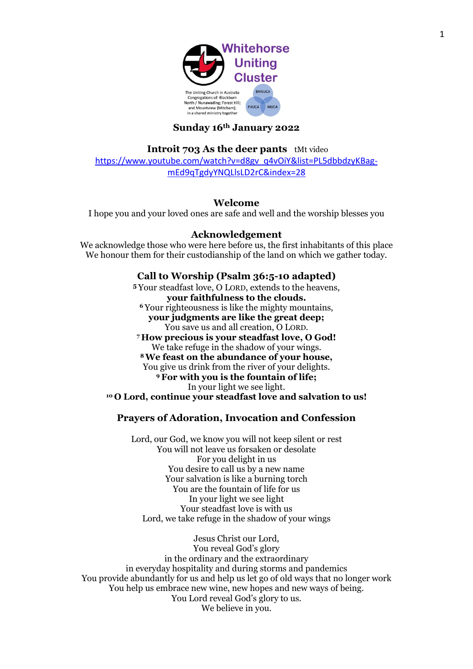

## **Sunday 16th January 2022**

**Introit 703 As the deer pants** tMt video

[https://www.youtube.com/watch?v=d8gv\\_q4vOiY&list=PL5dbbdzyKBag](https://www.youtube.com/watch?v=d8gv_q4vOiY&list=PL5dbbdzyKBag-mEd9qTgdyYNQLlsLD2rC&index=28)[mEd9qTgdyYNQLlsLD2rC&index=28](https://www.youtube.com/watch?v=d8gv_q4vOiY&list=PL5dbbdzyKBag-mEd9qTgdyYNQLlsLD2rC&index=28)

#### **Welcome**

I hope you and your loved ones are safe and well and the worship blesses you

#### **Acknowledgement**

We acknowledge those who were here before us, the first inhabitants of this place We honour them for their custodianship of the land on which we gather today.

### **Call to Worship (Psalm 36:5-10 adapted)**

**<sup>5</sup>** Your steadfast love, O LORD, extends to the heavens, **your faithfulness to the clouds. <sup>6</sup>** Your righteousness is like the mighty mountains, **your judgments are like the great deep;** You save us and all creation, O LORD. **<sup>7</sup> How precious is your steadfast love, O God!** We take refuge in the shadow of your wings. **<sup>8</sup>We feast on the abundance of your house,** You give us drink from the river of your delights. **<sup>9</sup>For with you is the fountain of life;** In your light we see light. **<sup>10</sup> O Lord, continue your steadfast love and salvation to us!**

## **Prayers of Adoration, Invocation and Confession**

Lord, our God, we know you will not keep silent or rest You will not leave us forsaken or desolate For you delight in us You desire to call us by a new name Your salvation is like a burning torch You are the fountain of life for us In your light we see light Your steadfast love is with us Lord, we take refuge in the shadow of your wings

Jesus Christ our Lord, You reveal God's glory in the ordinary and the extraordinary in everyday hospitality and during storms and pandemics You provide abundantly for us and help us let go of old ways that no longer work You help us embrace new wine, new hopes and new ways of being. You Lord reveal God's glory to us. We believe in you.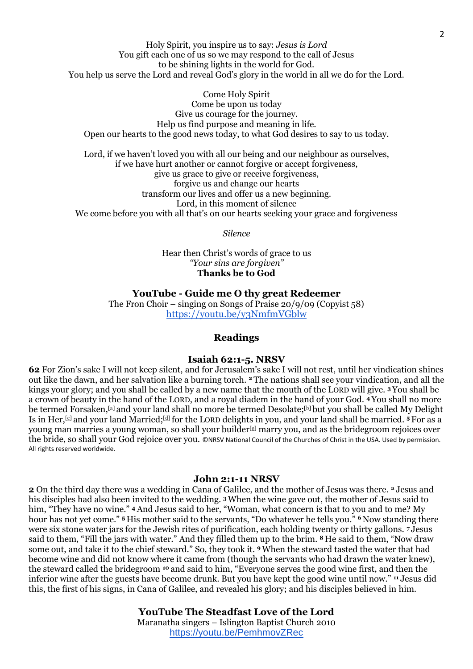Holy Spirit, you inspire us to say: *Jesus is Lord* You gift each one of us so we may respond to the call of Jesus to be shining lights in the world for God. You help us serve the Lord and reveal God's glory in the world in all we do for the Lord.

Come Holy Spirit Come be upon us today Give us courage for the journey. Help us find purpose and meaning in life. Open our hearts to the good news today, to what God desires to say to us today.

Lord, if we haven't loved you with all our being and our neighbour as ourselves, if we have hurt another or cannot forgive or accept forgiveness, give us grace to give or receive forgiveness, forgive us and change our hearts transform our lives and offer us a new beginning. Lord, in this moment of silence We come before you with all that's on our hearts seeking your grace and forgiveness

*Silence* 

Hear then Christ's words of grace to us *"Your sins are forgiven"*  **Thanks be to God**

**YouTube - Guide me O thy great Redeemer** The Fron Choir – singing on Songs of Praise 20/9/09 (Copyist 58) <https://youtu.be/y3NmfmVGblw>

## **Readings**

#### **Isaiah 62:1-5. NRSV**

**62** For Zion's sake I will not keep silent, and for Jerusalem's sake I will not rest, until her vindication shines out like the dawn, and her salvation like a burning torch. **<sup>2</sup>** The nations shall see your vindication, and all the kings your glory; and you shall be called by a new name that the mouth of the LORD will give. **<sup>3</sup>** You shall be a crown of beauty in the hand of the LORD, and a royal diadem in the hand of your God. **<sup>4</sup>** You shall no more be termed Forsaken,[\[a\]](https://www.biblegateway.com/passage/?search=Isaiah+62%3A1-5&version=NRSV#fen-NRSV-18859a) and your land shall no more be termed Desolate;[\[b\]](https://www.biblegateway.com/passage/?search=Isaiah+62%3A1-5&version=NRSV#fen-NRSV-18859b) but you shall be called My Delight Is in Her,[\[c\]](https://www.biblegateway.com/passage/?search=Isaiah+62%3A1-5&version=NRSV#fen-NRSV-18859c) and your land Married; [\[d\]](https://www.biblegateway.com/passage/?search=Isaiah+62%3A1-5&version=NRSV#fen-NRSV-18859d) for the LORD delights in you, and your land shall be married. **<sup>5</sup>** For as a young man marries a young woman, so shall your builder<sup>[\[e\]](https://www.biblegateway.com/passage/?search=Isaiah+62%3A1-5&version=NRSV#fen-NRSV-18860e)</sup> marry you, and as the bridegroom rejoices over the bride, so shall your God rejoice over you. ©NRSV National Council of the Churches of Christ in the USA. Used by permission. All rights reserved worldwide.

#### **John 2:1-11 NRSV**

**2** On the third day there was a wedding in Cana of Galilee, and the mother of Jesus was there. **<sup>2</sup>** Jesus and his disciples had also been invited to the wedding. **<sup>3</sup>**When the wine gave out, the mother of Jesus said to him, "They have no wine." <sup>4</sup> And Jesus said to her, "Woman, what concern is that to you and to me? My hour has not yet come." **<sup>5</sup>** His mother said to the servants, "Do whatever he tells you." **<sup>6</sup>** Now standing there were six stone water jars for the Jewish rites of purification, each holding twenty or thirty gallons. **<sup>7</sup>** Jesus said to them, "Fill the jars with water." And they filled them up to the brim. **<sup>8</sup>** He said to them, "Now draw some out, and take it to the chief steward." So, they took it. **<sup>9</sup>**When the steward tasted the water that had become wine and did not know where it came from (though the servants who had drawn the water knew), the steward called the bridegroom **<sup>10</sup>** and said to him, "Everyone serves the good wine first, and then the inferior wine after the guests have become drunk. But you have kept the good wine until now." **<sup>11</sup>** Jesus did this, the first of his signs, in Cana of Galilee, and revealed his glory; and his disciples believed in him.

#### **YouTube The Steadfast Love of the Lord**

Maranatha singers – Islington Baptist Church 2010 <https://youtu.be/PemhmovZRec>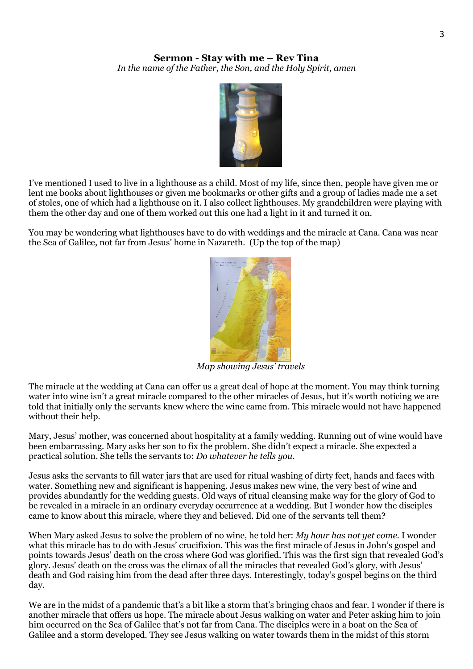# **Sermon - Stay with me – Rev Tina** *In the name of the Father, the Son, and the Holy Spirit, amen*



I've mentioned I used to live in a lighthouse as a child. Most of my life, since then, people have given me or lent me books about lighthouses or given me bookmarks or other gifts and a group of ladies made me a set of stoles, one of which had a lighthouse on it. I also collect lighthouses. My grandchildren were playing with them the other day and one of them worked out this one had a light in it and turned it on.

You may be wondering what lighthouses have to do with weddings and the miracle at Cana. Cana was near the Sea of Galilee, not far from Jesus' home in Nazareth. (Up the top of the map)



*Map showing Jesus' travels*

The miracle at the wedding at Cana can offer us a great deal of hope at the moment. You may think turning water into wine isn't a great miracle compared to the other miracles of Jesus, but it's worth noticing we are told that initially only the servants knew where the wine came from. This miracle would not have happened without their help.

Mary, Jesus' mother, was concerned about hospitality at a family wedding. Running out of wine would have been embarrassing. Mary asks her son to fix the problem. She didn't expect a miracle. She expected a practical solution. She tells the servants to: *Do whatever he tells you.*

Jesus asks the servants to fill water jars that are used for ritual washing of dirty feet, hands and faces with water. Something new and significant is happening. Jesus makes new wine, the very best of wine and provides abundantly for the wedding guests. Old ways of ritual cleansing make way for the glory of God to be revealed in a miracle in an ordinary everyday occurrence at a wedding. But I wonder how the disciples came to know about this miracle, where they and believed. Did one of the servants tell them?

When Mary asked Jesus to solve the problem of no wine, he told her: *My hour has not yet come.* I wonder what this miracle has to do with Jesus' crucifixion. This was the first miracle of Jesus in John's gospel and points towards Jesus' death on the cross where God was glorified. This was the first sign that revealed God's glory. Jesus' death on the cross was the climax of all the miracles that revealed God's glory, with Jesus' death and God raising him from the dead after three days. Interestingly, today's gospel begins on the third day.

We are in the midst of a pandemic that's a bit like a storm that's bringing chaos and fear. I wonder if there is another miracle that offers us hope. The miracle about Jesus walking on water and Peter asking him to join him occurred on the Sea of Galilee that's not far from Cana. The disciples were in a boat on the Sea of Galilee and a storm developed. They see Jesus walking on water towards them in the midst of this storm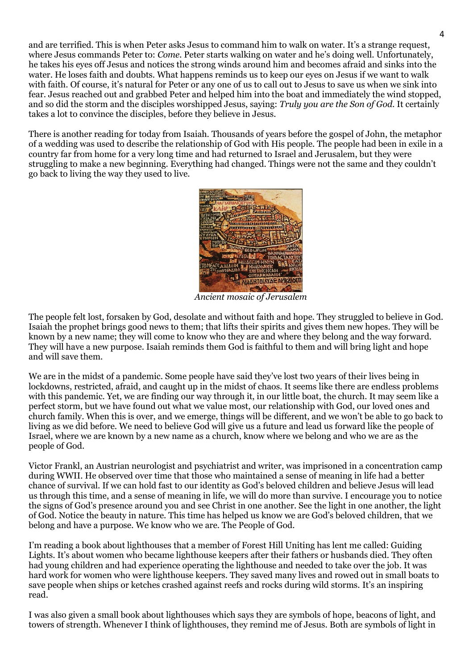and are terrified. This is when Peter asks Jesus to command him to walk on water. It's a strange request, where Jesus commands Peter to: *Come*. Peter starts walking on water and he's doing well. Unfortunately, he takes his eyes off Jesus and notices the strong winds around him and becomes afraid and sinks into the water. He loses faith and doubts. What happens reminds us to keep our eyes on Jesus if we want to walk with faith. Of course, it's natural for Peter or any one of us to call out to Jesus to save us when we sink into fear. Jesus reached out and grabbed Peter and helped him into the boat and immediately the wind stopped, and so did the storm and the disciples worshipped Jesus, saying: *Truly you are the Son of God.* It certainly takes a lot to convince the disciples, before they believe in Jesus.

There is another reading for today from Isaiah. Thousands of years before the gospel of John, the metaphor of a wedding was used to describe the relationship of God with His people. The people had been in exile in a country far from home for a very long time and had returned to Israel and Jerusalem, but they were struggling to make a new beginning. Everything had changed. Things were not the same and they couldn't go back to living the way they used to live.



*Ancient mosaic of Jerusalem*

The people felt lost, forsaken by God, desolate and without faith and hope. They struggled to believe in God. Isaiah the prophet brings good news to them; that lifts their spirits and gives them new hopes. They will be known by a new name; they will come to know who they are and where they belong and the way forward. They will have a new purpose. Isaiah reminds them God is faithful to them and will bring light and hope and will save them.

We are in the midst of a pandemic. Some people have said they've lost two years of their lives being in lockdowns, restricted, afraid, and caught up in the midst of chaos. It seems like there are endless problems with this pandemic. Yet, we are finding our way through it, in our little boat, the church. It may seem like a perfect storm, but we have found out what we value most, our relationship with God, our loved ones and church family. When this is over, and we emerge, things will be different, and we won't be able to go back to living as we did before. We need to believe God will give us a future and lead us forward like the people of Israel, where we are known by a new name as a church, know where we belong and who we are as the people of God.

Victor Frankl, an Austrian neurologist and psychiatrist and writer, was imprisoned in a concentration camp during WWII. He observed over time that those who maintained a sense of meaning in life had a better chance of survival. If we can hold fast to our identity as God's beloved children and believe Jesus will lead us through this time, and a sense of meaning in life, we will do more than survive. I encourage you to notice the signs of God's presence around you and see Christ in one another. See the light in one another, the light of God. Notice the beauty in nature. This time has helped us know we are God's beloved children, that we belong and have a purpose. We know who we are. The People of God.

I'm reading a book about lighthouses that a member of Forest Hill Uniting has lent me called: Guiding Lights. It's about women who became lighthouse keepers after their fathers or husbands died. They often had young children and had experience operating the lighthouse and needed to take over the job. It was hard work for women who were lighthouse keepers. They saved many lives and rowed out in small boats to save people when ships or ketches crashed against reefs and rocks during wild storms. It's an inspiring read.

I was also given a small book about lighthouses which says they are symbols of hope, beacons of light, and towers of strength. Whenever I think of lighthouses, they remind me of Jesus. Both are symbols of light in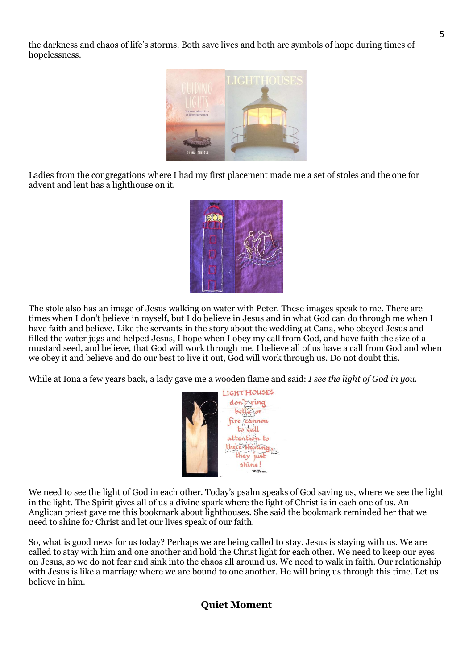the darkness and chaos of life's storms. Both save lives and both are symbols of hope during times of hopelessness.



Ladies from the congregations where I had my first placement made me a set of stoles and the one for advent and lent has a lighthouse on it.



The stole also has an image of Jesus walking on water with Peter. These images speak to me. There are times when I don't believe in myself, but I do believe in Jesus and in what God can do through me when I have faith and believe. Like the servants in the story about the wedding at Cana, who obeyed Jesus and filled the water jugs and helped Jesus, I hope when I obey my call from God, and have faith the size of a mustard seed, and believe, that God will work through me. I believe all of us have a call from God and when we obey it and believe and do our best to live it out, God will work through us. Do not doubt this.

While at Iona a few years back, a lady gave me a wooden flame and said: *I see the light of God in you.*



We need to see the light of God in each other. Today's psalm speaks of God saving us, where we see the light in the light. The Spirit gives all of us a divine spark where the light of Christ is in each one of us. An Anglican priest gave me this bookmark about lighthouses. She said the bookmark reminded her that we need to shine for Christ and let our lives speak of our faith.

So, what is good news for us today? Perhaps we are being called to stay. Jesus is staying with us. We are called to stay with him and one another and hold the Christ light for each other. We need to keep our eyes on Jesus, so we do not fear and sink into the chaos all around us. We need to walk in faith. Our relationship with Jesus is like a marriage where we are bound to one another. He will bring us through this time. Let us believe in him.

# **Quiet Moment**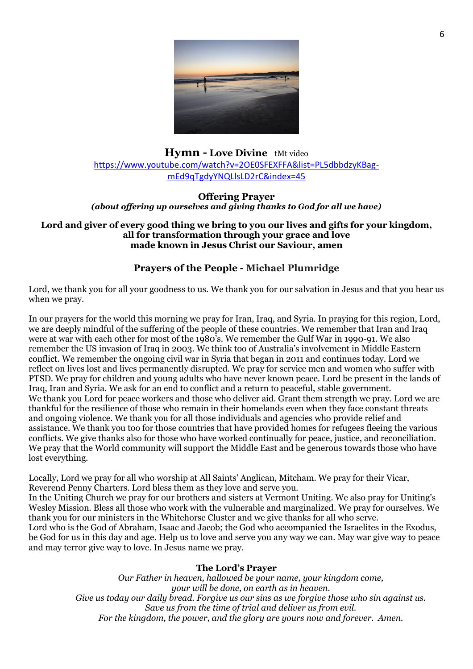

# **Hymn - Love Divine** tMt video [https://www.youtube.com/watch?v=2OE0SFEXFFA&list=PL5dbbdzyKBag](https://www.youtube.com/watch?v=2OE0SFEXFFA&list=PL5dbbdzyKBag-mEd9qTgdyYNQLlsLD2rC&index=45)[mEd9qTgdyYNQLlsLD2rC&index=45](https://www.youtube.com/watch?v=2OE0SFEXFFA&list=PL5dbbdzyKBag-mEd9qTgdyYNQLlsLD2rC&index=45)

## **Offering Prayer** *(about offering up ourselves and giving thanks to God for all we have)*

#### **Lord and giver of every good thing we bring to you our lives and gifts for your kingdom, all for transformation through your grace and love made known in Jesus Christ our Saviour, amen**

# **Prayers of the People - Michael Plumridge**

Lord, we thank you for all your goodness to us. We thank you for our salvation in Jesus and that you hear us when we pray.

In our prayers for the world this morning we pray for Iran, Iraq, and Syria. In praying for this region, Lord, we are deeply mindful of the suffering of the people of these countries. We remember that Iran and Iraq were at war with each other for most of the 1980's. We remember the Gulf War in 1990-91. We also remember the US invasion of Iraq in 2003. We think too of Australia's involvement in Middle Eastern conflict. We remember the ongoing civil war in Syria that began in 2011 and continues today. Lord we reflect on lives lost and lives permanently disrupted. We pray for service men and women who suffer with PTSD. We pray for children and young adults who have never known peace. Lord be present in the lands of Iraq, Iran and Syria. We ask for an end to conflict and a return to peaceful, stable government. We thank you Lord for peace workers and those who deliver aid. Grant them strength we pray. Lord we are thankful for the resilience of those who remain in their homelands even when they face constant threats and ongoing violence. We thank you for all those individuals and agencies who provide relief and assistance. We thank you too for those countries that have provided homes for refugees fleeing the various conflicts. We give thanks also for those who have worked continually for peace, justice, and reconciliation. We pray that the World community will support the Middle East and be generous towards those who have lost everything.

Locally, Lord we pray for all who worship at All Saints' Anglican, Mitcham. We pray for their Vicar, Reverend Penny Charters. Lord bless them as they love and serve you.

In the Uniting Church we pray for our brothers and sisters at Vermont Uniting. We also pray for Uniting's Wesley Mission. Bless all those who work with the vulnerable and marginalized. We pray for ourselves. We thank you for our ministers in the Whitehorse Cluster and we give thanks for all who serve.

Lord who is the God of Abraham, Isaac and Jacob; the God who accompanied the Israelites in the Exodus, be God for us in this day and age. Help us to love and serve you any way we can. May war give way to peace and may terror give way to love. In Jesus name we pray.

# **The Lord's Prayer**

*Our Father in heaven, hallowed be your name, your kingdom come, your will be done, on earth as in heaven. Give us today our daily bread. Forgive us our sins as we forgive those who sin against us. Save us from the time of trial and deliver us from evil. For the kingdom, the power, and the glory are yours now and forever. Amen.*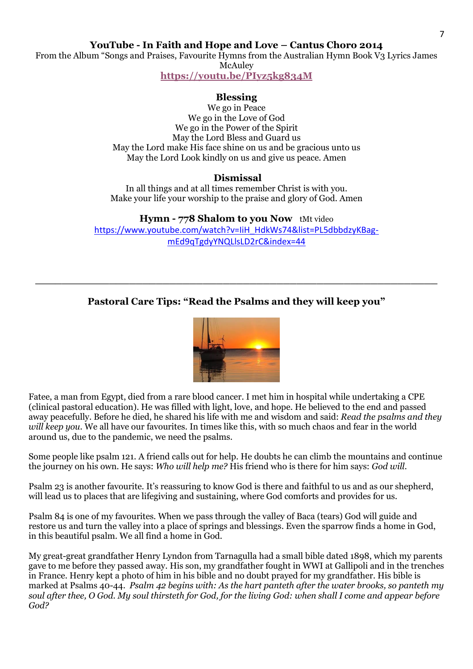**YouTube - In Faith and Hope and Love – Cantus Choro 2014**

From the Album "Songs and Praises, Favourite Hymns from the Australian Hymn Book V3 Lyrics James **McAuley** 

**<https://youtu.be/PIyz5kg834M>**

# **Blessing**

We go in Peace We go in the Love of God We go in the Power of the Spirit May the Lord Bless and Guard us May the Lord make His face shine on us and be gracious unto us May the Lord Look kindly on us and give us peace. Amen

# **Dismissal**

In all things and at all times remember Christ is with you. Make your life your worship to the praise and glory of God. Amen

**Hymn - 778 Shalom to you Now** tMt video [https://www.youtube.com/watch?v=IiH\\_HdkWs74&list=PL5dbbdzyKBag](https://www.youtube.com/watch?v=IiH_HdkWs74&list=PL5dbbdzyKBag-mEd9qTgdyYNQLlsLD2rC&index=44)[mEd9qTgdyYNQLlsLD2rC&index=44](https://www.youtube.com/watch?v=IiH_HdkWs74&list=PL5dbbdzyKBag-mEd9qTgdyYNQLlsLD2rC&index=44)

# **Pastoral Care Tips: "Read the Psalms and they will keep you"**

**\_\_\_\_\_\_\_\_\_\_\_\_\_\_\_\_\_\_\_\_\_\_\_\_\_\_\_\_\_\_\_\_\_\_\_\_\_\_\_\_\_\_\_\_\_\_\_\_\_\_\_\_\_\_\_\_\_\_\_\_**



Fatee, a man from Egypt, died from a rare blood cancer. I met him in hospital while undertaking a CPE (clinical pastoral education). He was filled with light, love, and hope. He believed to the end and passed away peacefully. Before he died, he shared his life with me and wisdom and said: *Read the psalms and they will keep you.* We all have our favourites. In times like this, with so much chaos and fear in the world around us, due to the pandemic, we need the psalms.

Some people like psalm 121. A friend calls out for help. He doubts he can climb the mountains and continue the journey on his own. He says: *Who will help me?* His friend who is there for him says: *God will.*

Psalm 23 is another favourite. It's reassuring to know God is there and faithful to us and as our shepherd, will lead us to places that are lifegiving and sustaining, where God comforts and provides for us.

Psalm 84 is one of my favourites. When we pass through the valley of Baca (tears) God will guide and restore us and turn the valley into a place of springs and blessings. Even the sparrow finds a home in God, in this beautiful psalm. We all find a home in God.

My great-great grandfather Henry Lyndon from Tarnagulla had a small bible dated 1898, which my parents gave to me before they passed away. His son, my grandfather fought in WWI at Gallipoli and in the trenches in France. Henry kept a photo of him in his bible and no doubt prayed for my grandfather. His bible is marked at Psalms 40-44. *Psalm 42 begins with: As the hart panteth after the water brooks, so panteth my soul after thee, O God. My soul thirsteth for God, for the living God: when shall I come and appear before God?*